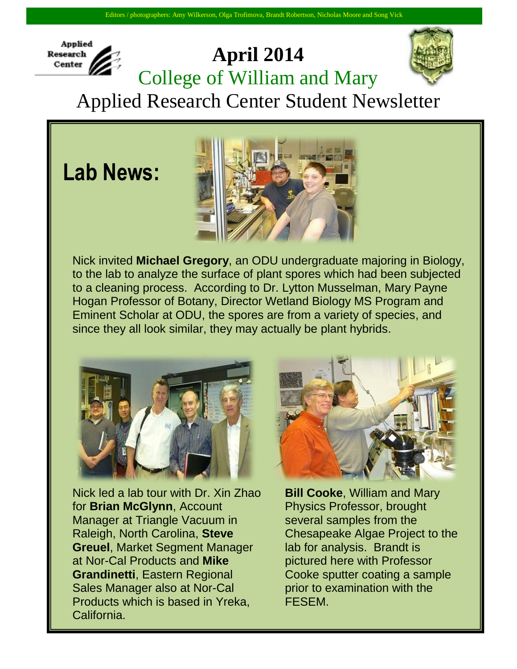## **Applied Research** Center

## **April 2014** College of William and Mary



Applied Research Center Student Newsletter

**Lab News:**



Nick invited **Michael Gregory**, an ODU undergraduate majoring in Biology, to the lab to analyze the surface of plant spores which had been subjected to a cleaning process. According to Dr. Lytton Musselman, Mary Payne Hogan Professor of Botany, Director Wetland Biology MS Program and Eminent Scholar at ODU, the spores are from a variety of species, and since they all look similar, they may actually be plant hybrids.



Nick led a lab tour with Dr. Xin Zhao for **Brian McGlynn**, Account Manager at Triangle Vacuum in Raleigh, North Carolina, **Steve Greuel**, Market Segment Manager at Nor-Cal Products and **Mike Grandinetti**, Eastern Regional Sales Manager also at Nor-Cal Products which is based in Yreka, California.



**Bill Cooke**, William and Mary Physics Professor, brought several samples from the Chesapeake Algae Project to the lab for analysis. Brandt is pictured here with Professor Cooke sputter coating a sample prior to examination with the FESEM.